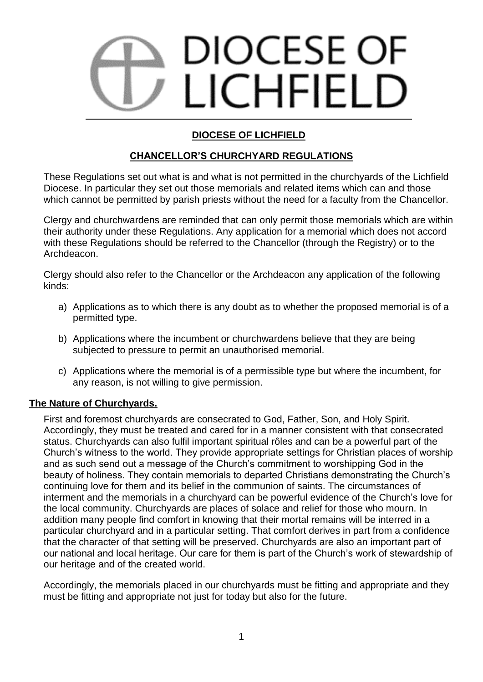# DIOCESE OF LICHFIELD

# **DIOCESE OF LICHFIELD**

# **CHANCELLOR'S CHURCHYARD REGULATIONS**

These Regulations set out what is and what is not permitted in the churchyards of the Lichfield Diocese. In particular they set out those memorials and related items which can and those which cannot be permitted by parish priests without the need for a faculty from the Chancellor.

Clergy and churchwardens are reminded that can only permit those memorials which are within their authority under these Regulations. Any application for a memorial which does not accord with these Regulations should be referred to the Chancellor (through the Registry) or to the Archdeacon.

Clergy should also refer to the Chancellor or the Archdeacon any application of the following kinds:

- a) Applications as to which there is any doubt as to whether the proposed memorial is of a permitted type.
- b) Applications where the incumbent or churchwardens believe that they are being subjected to pressure to permit an unauthorised memorial.
- c) Applications where the memorial is of a permissible type but where the incumbent, for any reason, is not willing to give permission.

# **The Nature of Churchyards.**

First and foremost churchyards are consecrated to God, Father, Son, and Holy Spirit. Accordingly, they must be treated and cared for in a manner consistent with that consecrated status. Churchyards can also fulfil important spiritual rôles and can be a powerful part of the Church's witness to the world. They provide appropriate settings for Christian places of worship and as such send out a message of the Church's commitment to worshipping God in the beauty of holiness. They contain memorials to departed Christians demonstrating the Church's continuing love for them and its belief in the communion of saints. The circumstances of interment and the memorials in a churchyard can be powerful evidence of the Church's love for the local community. Churchyards are places of solace and relief for those who mourn. In addition many people find comfort in knowing that their mortal remains will be interred in a particular churchyard and in a particular setting. That comfort derives in part from a confidence that the character of that setting will be preserved. Churchyards are also an important part of our national and local heritage. Our care for them is part of the Church's work of stewardship of our heritage and of the created world.

Accordingly, the memorials placed in our churchyards must be fitting and appropriate and they must be fitting and appropriate not just for today but also for the future.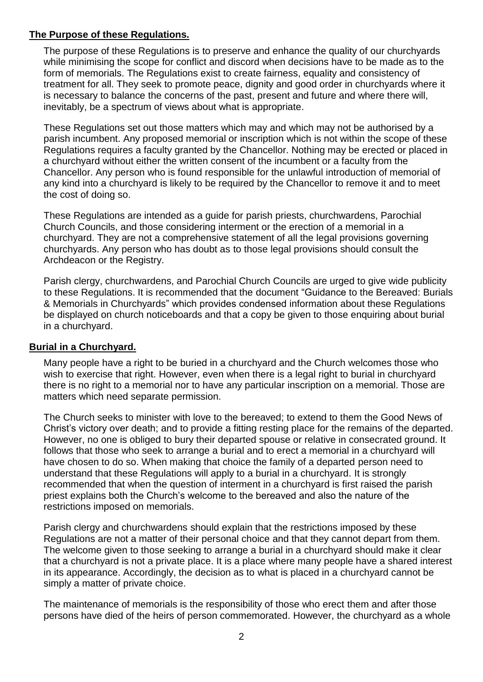### **The Purpose of these Regulations.**

The purpose of these Regulations is to preserve and enhance the quality of our churchyards while minimising the scope for conflict and discord when decisions have to be made as to the form of memorials. The Regulations exist to create fairness, equality and consistency of treatment for all. They seek to promote peace, dignity and good order in churchyards where it is necessary to balance the concerns of the past, present and future and where there will, inevitably, be a spectrum of views about what is appropriate.

These Regulations set out those matters which may and which may not be authorised by a parish incumbent. Any proposed memorial or inscription which is not within the scope of these Regulations requires a faculty granted by the Chancellor. Nothing may be erected or placed in a churchyard without either the written consent of the incumbent or a faculty from the Chancellor. Any person who is found responsible for the unlawful introduction of memorial of any kind into a churchyard is likely to be required by the Chancellor to remove it and to meet the cost of doing so.

These Regulations are intended as a guide for parish priests, churchwardens, Parochial Church Councils, and those considering interment or the erection of a memorial in a churchyard. They are not a comprehensive statement of all the legal provisions governing churchyards. Any person who has doubt as to those legal provisions should consult the Archdeacon or the Registry.

Parish clergy, churchwardens, and Parochial Church Councils are urged to give wide publicity to these Regulations. It is recommended that the document "Guidance to the Bereaved: Burials & Memorials in Churchyards" which provides condensed information about these Regulations be displayed on church noticeboards and that a copy be given to those enquiring about burial in a churchyard.

# **Burial in a Churchyard.**

Many people have a right to be buried in a churchyard and the Church welcomes those who wish to exercise that right. However, even when there is a legal right to burial in churchyard there is no right to a memorial nor to have any particular inscription on a memorial. Those are matters which need separate permission.

The Church seeks to minister with love to the bereaved; to extend to them the Good News of Christ's victory over death; and to provide a fitting resting place for the remains of the departed. However, no one is obliged to bury their departed spouse or relative in consecrated ground. It follows that those who seek to arrange a burial and to erect a memorial in a churchyard will have chosen to do so. When making that choice the family of a departed person need to understand that these Regulations will apply to a burial in a churchyard. It is strongly recommended that when the question of interment in a churchyard is first raised the parish priest explains both the Church's welcome to the bereaved and also the nature of the restrictions imposed on memorials.

Parish clergy and churchwardens should explain that the restrictions imposed by these Regulations are not a matter of their personal choice and that they cannot depart from them. The welcome given to those seeking to arrange a burial in a churchyard should make it clear that a churchyard is not a private place. It is a place where many people have a shared interest in its appearance. Accordingly, the decision as to what is placed in a churchyard cannot be simply a matter of private choice.

The maintenance of memorials is the responsibility of those who erect them and after those persons have died of the heirs of person commemorated. However, the churchyard as a whole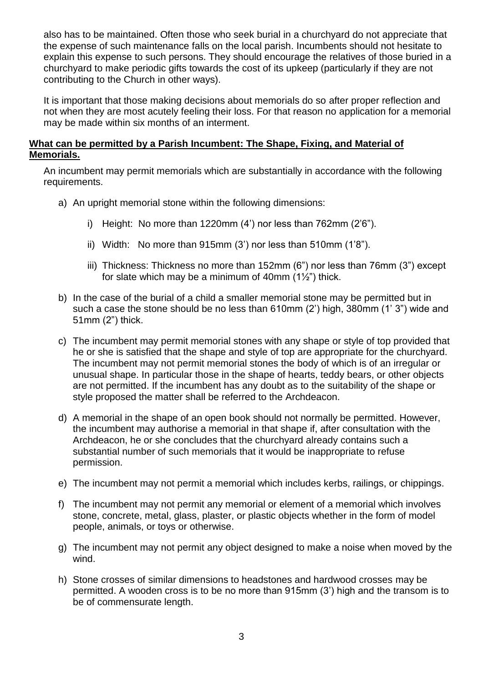also has to be maintained. Often those who seek burial in a churchyard do not appreciate that the expense of such maintenance falls on the local parish. Incumbents should not hesitate to explain this expense to such persons. They should encourage the relatives of those buried in a churchyard to make periodic gifts towards the cost of its upkeep (particularly if they are not contributing to the Church in other ways).

It is important that those making decisions about memorials do so after proper reflection and not when they are most acutely feeling their loss. For that reason no application for a memorial may be made within six months of an interment.

#### **What can be permitted by a Parish Incumbent: The Shape, Fixing, and Material of Memorials.**

An incumbent may permit memorials which are substantially in accordance with the following requirements.

- a) An upright memorial stone within the following dimensions:
	- i) Height: No more than 1220mm (4') nor less than 762mm (2'6").
	- ii) Width: No more than 915mm (3') nor less than 510mm (1'8").
	- iii) Thickness: Thickness no more than 152mm (6") nor less than 76mm (3") except for slate which may be a minimum of 40mm (1½") thick.
- b) In the case of the burial of a child a smaller memorial stone may be permitted but in such a case the stone should be no less than 610mm (2') high, 380mm (1' 3") wide and 51mm (2") thick.
- c) The incumbent may permit memorial stones with any shape or style of top provided that he or she is satisfied that the shape and style of top are appropriate for the churchyard. The incumbent may not permit memorial stones the body of which is of an irregular or unusual shape. In particular those in the shape of hearts, teddy bears, or other objects are not permitted. If the incumbent has any doubt as to the suitability of the shape or style proposed the matter shall be referred to the Archdeacon.
- d) A memorial in the shape of an open book should not normally be permitted. However, the incumbent may authorise a memorial in that shape if, after consultation with the Archdeacon, he or she concludes that the churchyard already contains such a substantial number of such memorials that it would be inappropriate to refuse permission.
- e) The incumbent may not permit a memorial which includes kerbs, railings, or chippings.
- f) The incumbent may not permit any memorial or element of a memorial which involves stone, concrete, metal, glass, plaster, or plastic objects whether in the form of model people, animals, or toys or otherwise.
- g) The incumbent may not permit any object designed to make a noise when moved by the wind.
- h) Stone crosses of similar dimensions to headstones and hardwood crosses may be permitted. A wooden cross is to be no more than 915mm (3') high and the transom is to be of commensurate length.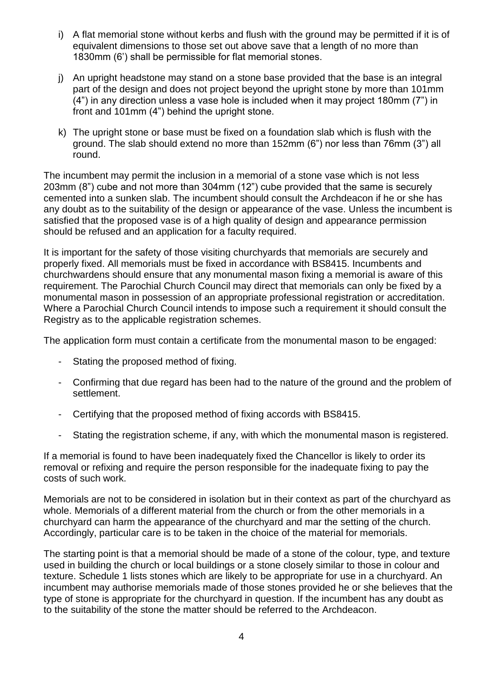- i) A flat memorial stone without kerbs and flush with the ground may be permitted if it is of equivalent dimensions to those set out above save that a length of no more than 1830mm (6') shall be permissible for flat memorial stones.
- j) An upright headstone may stand on a stone base provided that the base is an integral part of the design and does not project beyond the upright stone by more than 101mm (4") in any direction unless a vase hole is included when it may project 180mm (7") in front and 101mm (4") behind the upright stone.
- k) The upright stone or base must be fixed on a foundation slab which is flush with the ground. The slab should extend no more than 152mm (6") nor less than 76mm (3") all round.

The incumbent may permit the inclusion in a memorial of a stone vase which is not less 203mm (8") cube and not more than 304mm (12") cube provided that the same is securely cemented into a sunken slab. The incumbent should consult the Archdeacon if he or she has any doubt as to the suitability of the design or appearance of the vase. Unless the incumbent is satisfied that the proposed vase is of a high quality of design and appearance permission should be refused and an application for a faculty required.

It is important for the safety of those visiting churchyards that memorials are securely and properly fixed. All memorials must be fixed in accordance with BS8415. Incumbents and churchwardens should ensure that any monumental mason fixing a memorial is aware of this requirement. The Parochial Church Council may direct that memorials can only be fixed by a monumental mason in possession of an appropriate professional registration or accreditation. Where a Parochial Church Council intends to impose such a requirement it should consult the Registry as to the applicable registration schemes.

The application form must contain a certificate from the monumental mason to be engaged:

- Stating the proposed method of fixing.
- Confirming that due regard has been had to the nature of the ground and the problem of settlement.
- Certifying that the proposed method of fixing accords with BS8415.
- Stating the registration scheme, if any, with which the monumental mason is registered.

If a memorial is found to have been inadequately fixed the Chancellor is likely to order its removal or refixing and require the person responsible for the inadequate fixing to pay the costs of such work.

Memorials are not to be considered in isolation but in their context as part of the churchyard as whole. Memorials of a different material from the church or from the other memorials in a churchyard can harm the appearance of the churchyard and mar the setting of the church. Accordingly, particular care is to be taken in the choice of the material for memorials.

The starting point is that a memorial should be made of a stone of the colour, type, and texture used in building the church or local buildings or a stone closely similar to those in colour and texture. Schedule 1 lists stones which are likely to be appropriate for use in a churchyard. An incumbent may authorise memorials made of those stones provided he or she believes that the type of stone is appropriate for the churchyard in question. If the incumbent has any doubt as to the suitability of the stone the matter should be referred to the Archdeacon.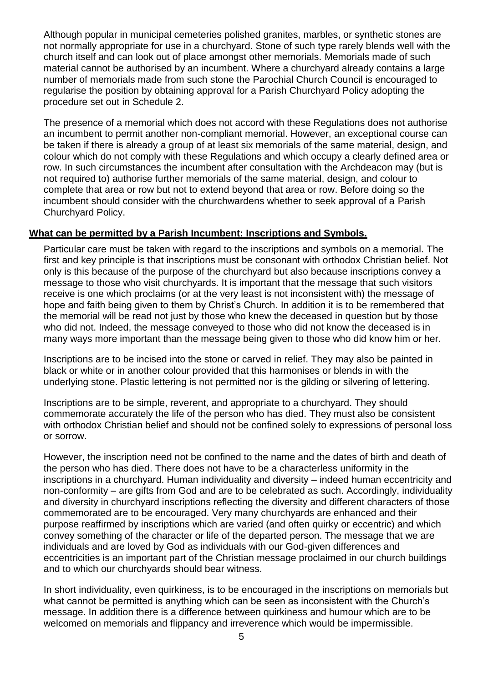Although popular in municipal cemeteries polished granites, marbles, or synthetic stones are not normally appropriate for use in a churchyard. Stone of such type rarely blends well with the church itself and can look out of place amongst other memorials. Memorials made of such material cannot be authorised by an incumbent. Where a churchyard already contains a large number of memorials made from such stone the Parochial Church Council is encouraged to regularise the position by obtaining approval for a Parish Churchyard Policy adopting the procedure set out in Schedule 2.

The presence of a memorial which does not accord with these Regulations does not authorise an incumbent to permit another non-compliant memorial. However, an exceptional course can be taken if there is already a group of at least six memorials of the same material, design, and colour which do not comply with these Regulations and which occupy a clearly defined area or row. In such circumstances the incumbent after consultation with the Archdeacon may (but is not required to) authorise further memorials of the same material, design, and colour to complete that area or row but not to extend beyond that area or row. Before doing so the incumbent should consider with the churchwardens whether to seek approval of a Parish Churchyard Policy.

### **What can be permitted by a Parish Incumbent: Inscriptions and Symbols.**

Particular care must be taken with regard to the inscriptions and symbols on a memorial. The first and key principle is that inscriptions must be consonant with orthodox Christian belief. Not only is this because of the purpose of the churchyard but also because inscriptions convey a message to those who visit churchyards. It is important that the message that such visitors receive is one which proclaims (or at the very least is not inconsistent with) the message of hope and faith being given to them by Christ's Church. In addition it is to be remembered that the memorial will be read not just by those who knew the deceased in question but by those who did not. Indeed, the message conveyed to those who did not know the deceased is in many ways more important than the message being given to those who did know him or her.

Inscriptions are to be incised into the stone or carved in relief. They may also be painted in black or white or in another colour provided that this harmonises or blends in with the underlying stone. Plastic lettering is not permitted nor is the gilding or silvering of lettering.

Inscriptions are to be simple, reverent, and appropriate to a churchyard. They should commemorate accurately the life of the person who has died. They must also be consistent with orthodox Christian belief and should not be confined solely to expressions of personal loss or sorrow.

However, the inscription need not be confined to the name and the dates of birth and death of the person who has died. There does not have to be a characterless uniformity in the inscriptions in a churchyard. Human individuality and diversity – indeed human eccentricity and non-conformity – are gifts from God and are to be celebrated as such. Accordingly, individuality and diversity in churchyard inscriptions reflecting the diversity and different characters of those commemorated are to be encouraged. Very many churchyards are enhanced and their purpose reaffirmed by inscriptions which are varied (and often quirky or eccentric) and which convey something of the character or life of the departed person. The message that we are individuals and are loved by God as individuals with our God-given differences and eccentricities is an important part of the Christian message proclaimed in our church buildings and to which our churchyards should bear witness.

In short individuality, even quirkiness, is to be encouraged in the inscriptions on memorials but what cannot be permitted is anything which can be seen as inconsistent with the Church's message. In addition there is a difference between quirkiness and humour which are to be welcomed on memorials and flippancy and irreverence which would be impermissible.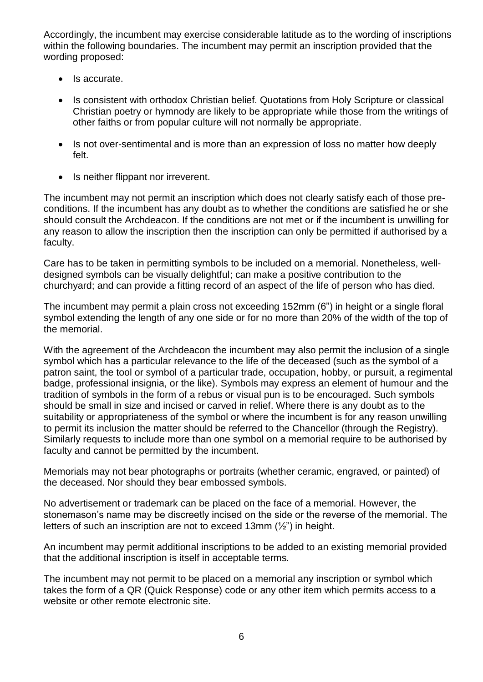Accordingly, the incumbent may exercise considerable latitude as to the wording of inscriptions within the following boundaries. The incumbent may permit an inscription provided that the wording proposed:

- Is accurate.
- Is consistent with orthodox Christian belief. Quotations from Holy Scripture or classical Christian poetry or hymnody are likely to be appropriate while those from the writings of other faiths or from popular culture will not normally be appropriate.
- Is not over-sentimental and is more than an expression of loss no matter how deeply felt.
- Is neither flippant nor irreverent.

The incumbent may not permit an inscription which does not clearly satisfy each of those preconditions. If the incumbent has any doubt as to whether the conditions are satisfied he or she should consult the Archdeacon. If the conditions are not met or if the incumbent is unwilling for any reason to allow the inscription then the inscription can only be permitted if authorised by a faculty.

Care has to be taken in permitting symbols to be included on a memorial. Nonetheless, welldesigned symbols can be visually delightful; can make a positive contribution to the churchyard; and can provide a fitting record of an aspect of the life of person who has died.

The incumbent may permit a plain cross not exceeding 152mm (6") in height or a single floral symbol extending the length of any one side or for no more than 20% of the width of the top of the memorial.

With the agreement of the Archdeacon the incumbent may also permit the inclusion of a single symbol which has a particular relevance to the life of the deceased (such as the symbol of a patron saint, the tool or symbol of a particular trade, occupation, hobby, or pursuit, a regimental badge, professional insignia, or the like). Symbols may express an element of humour and the tradition of symbols in the form of a rebus or visual pun is to be encouraged. Such symbols should be small in size and incised or carved in relief. Where there is any doubt as to the suitability or appropriateness of the symbol or where the incumbent is for any reason unwilling to permit its inclusion the matter should be referred to the Chancellor (through the Registry). Similarly requests to include more than one symbol on a memorial require to be authorised by faculty and cannot be permitted by the incumbent.

Memorials may not bear photographs or portraits (whether ceramic, engraved, or painted) of the deceased. Nor should they bear embossed symbols.

No advertisement or trademark can be placed on the face of a memorial. However, the stonemason's name may be discreetly incised on the side or the reverse of the memorial. The letters of such an inscription are not to exceed 13mm (½") in height.

An incumbent may permit additional inscriptions to be added to an existing memorial provided that the additional inscription is itself in acceptable terms.

The incumbent may not permit to be placed on a memorial any inscription or symbol which takes the form of a QR (Quick Response) code or any other item which permits access to a website or other remote electronic site.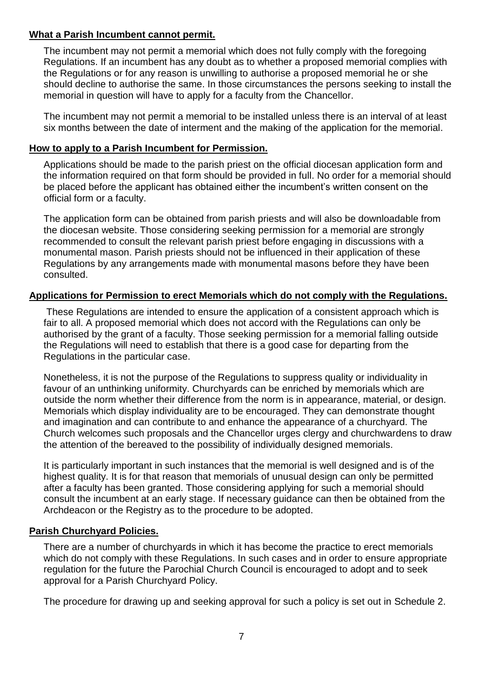#### **What a Parish Incumbent cannot permit.**

The incumbent may not permit a memorial which does not fully comply with the foregoing Regulations. If an incumbent has any doubt as to whether a proposed memorial complies with the Regulations or for any reason is unwilling to authorise a proposed memorial he or she should decline to authorise the same. In those circumstances the persons seeking to install the memorial in question will have to apply for a faculty from the Chancellor.

The incumbent may not permit a memorial to be installed unless there is an interval of at least six months between the date of interment and the making of the application for the memorial.

## **How to apply to a Parish Incumbent for Permission.**

Applications should be made to the parish priest on the official diocesan application form and the information required on that form should be provided in full. No order for a memorial should be placed before the applicant has obtained either the incumbent's written consent on the official form or a faculty.

The application form can be obtained from parish priests and will also be downloadable from the diocesan website. Those considering seeking permission for a memorial are strongly recommended to consult the relevant parish priest before engaging in discussions with a monumental mason. Parish priests should not be influenced in their application of these Regulations by any arrangements made with monumental masons before they have been consulted.

# **Applications for Permission to erect Memorials which do not comply with the Regulations.**

These Regulations are intended to ensure the application of a consistent approach which is fair to all. A proposed memorial which does not accord with the Regulations can only be authorised by the grant of a faculty. Those seeking permission for a memorial falling outside the Regulations will need to establish that there is a good case for departing from the Regulations in the particular case.

Nonetheless, it is not the purpose of the Regulations to suppress quality or individuality in favour of an unthinking uniformity. Churchyards can be enriched by memorials which are outside the norm whether their difference from the norm is in appearance, material, or design. Memorials which display individuality are to be encouraged. They can demonstrate thought and imagination and can contribute to and enhance the appearance of a churchyard. The Church welcomes such proposals and the Chancellor urges clergy and churchwardens to draw the attention of the bereaved to the possibility of individually designed memorials.

It is particularly important in such instances that the memorial is well designed and is of the highest quality. It is for that reason that memorials of unusual design can only be permitted after a faculty has been granted. Those considering applying for such a memorial should consult the incumbent at an early stage. If necessary guidance can then be obtained from the Archdeacon or the Registry as to the procedure to be adopted.

# **Parish Churchyard Policies.**

There are a number of churchyards in which it has become the practice to erect memorials which do not comply with these Regulations. In such cases and in order to ensure appropriate regulation for the future the Parochial Church Council is encouraged to adopt and to seek approval for a Parish Churchyard Policy.

The procedure for drawing up and seeking approval for such a policy is set out in Schedule 2.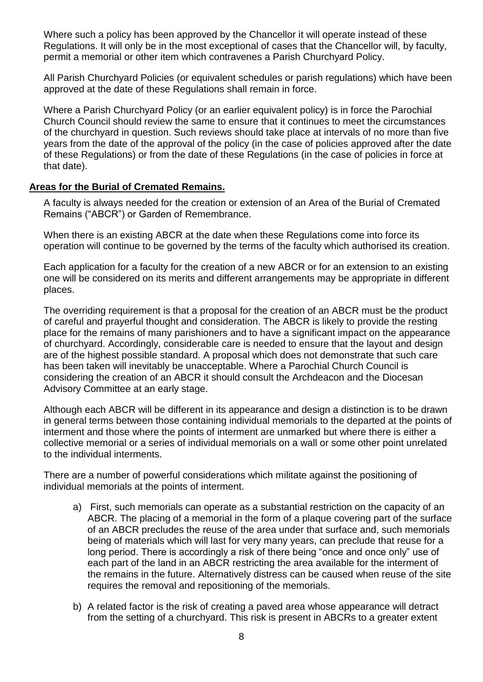Where such a policy has been approved by the Chancellor it will operate instead of these Regulations. It will only be in the most exceptional of cases that the Chancellor will, by faculty, permit a memorial or other item which contravenes a Parish Churchyard Policy.

All Parish Churchyard Policies (or equivalent schedules or parish regulations) which have been approved at the date of these Regulations shall remain in force.

Where a Parish Churchyard Policy (or an earlier equivalent policy) is in force the Parochial Church Council should review the same to ensure that it continues to meet the circumstances of the churchyard in question. Such reviews should take place at intervals of no more than five years from the date of the approval of the policy (in the case of policies approved after the date of these Regulations) or from the date of these Regulations (in the case of policies in force at that date).

#### **Areas for the Burial of Cremated Remains.**

A faculty is always needed for the creation or extension of an Area of the Burial of Cremated Remains ("ABCR") or Garden of Remembrance.

When there is an existing ABCR at the date when these Regulations come into force its operation will continue to be governed by the terms of the faculty which authorised its creation.

Each application for a faculty for the creation of a new ABCR or for an extension to an existing one will be considered on its merits and different arrangements may be appropriate in different places.

The overriding requirement is that a proposal for the creation of an ABCR must be the product of careful and prayerful thought and consideration. The ABCR is likely to provide the resting place for the remains of many parishioners and to have a significant impact on the appearance of churchyard. Accordingly, considerable care is needed to ensure that the layout and design are of the highest possible standard. A proposal which does not demonstrate that such care has been taken will inevitably be unacceptable. Where a Parochial Church Council is considering the creation of an ABCR it should consult the Archdeacon and the Diocesan Advisory Committee at an early stage.

Although each ABCR will be different in its appearance and design a distinction is to be drawn in general terms between those containing individual memorials to the departed at the points of interment and those where the points of interment are unmarked but where there is either a collective memorial or a series of individual memorials on a wall or some other point unrelated to the individual interments.

There are a number of powerful considerations which militate against the positioning of individual memorials at the points of interment.

- a) First, such memorials can operate as a substantial restriction on the capacity of an ABCR. The placing of a memorial in the form of a plaque covering part of the surface of an ABCR precludes the reuse of the area under that surface and, such memorials being of materials which will last for very many years, can preclude that reuse for a long period. There is accordingly a risk of there being "once and once only" use of each part of the land in an ABCR restricting the area available for the interment of the remains in the future. Alternatively distress can be caused when reuse of the site requires the removal and repositioning of the memorials.
- b) A related factor is the risk of creating a paved area whose appearance will detract from the setting of a churchyard. This risk is present in ABCRs to a greater extent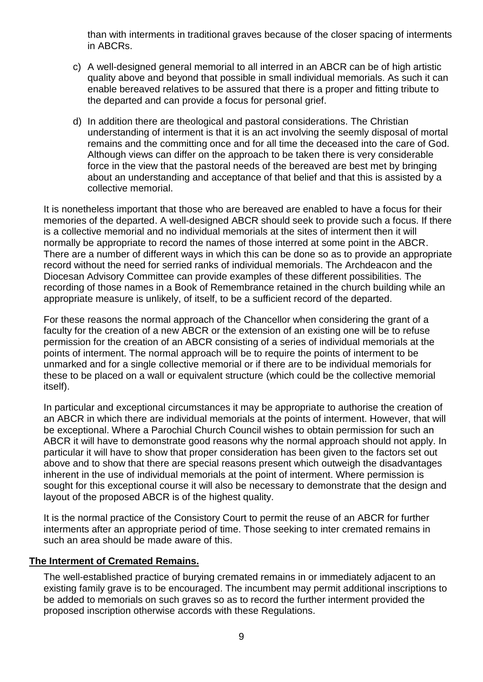than with interments in traditional graves because of the closer spacing of interments in ABCRs.

- c) A well-designed general memorial to all interred in an ABCR can be of high artistic quality above and beyond that possible in small individual memorials. As such it can enable bereaved relatives to be assured that there is a proper and fitting tribute to the departed and can provide a focus for personal grief.
- d) In addition there are theological and pastoral considerations. The Christian understanding of interment is that it is an act involving the seemly disposal of mortal remains and the committing once and for all time the deceased into the care of God. Although views can differ on the approach to be taken there is very considerable force in the view that the pastoral needs of the bereaved are best met by bringing about an understanding and acceptance of that belief and that this is assisted by a collective memorial.

It is nonetheless important that those who are bereaved are enabled to have a focus for their memories of the departed. A well-designed ABCR should seek to provide such a focus. If there is a collective memorial and no individual memorials at the sites of interment then it will normally be appropriate to record the names of those interred at some point in the ABCR. There are a number of different ways in which this can be done so as to provide an appropriate record without the need for serried ranks of individual memorials. The Archdeacon and the Diocesan Advisory Committee can provide examples of these different possibilities. The recording of those names in a Book of Remembrance retained in the church building while an appropriate measure is unlikely, of itself, to be a sufficient record of the departed.

For these reasons the normal approach of the Chancellor when considering the grant of a faculty for the creation of a new ABCR or the extension of an existing one will be to refuse permission for the creation of an ABCR consisting of a series of individual memorials at the points of interment. The normal approach will be to require the points of interment to be unmarked and for a single collective memorial or if there are to be individual memorials for these to be placed on a wall or equivalent structure (which could be the collective memorial itself).

In particular and exceptional circumstances it may be appropriate to authorise the creation of an ABCR in which there are individual memorials at the points of interment. However, that will be exceptional. Where a Parochial Church Council wishes to obtain permission for such an ABCR it will have to demonstrate good reasons why the normal approach should not apply. In particular it will have to show that proper consideration has been given to the factors set out above and to show that there are special reasons present which outweigh the disadvantages inherent in the use of individual memorials at the point of interment. Where permission is sought for this exceptional course it will also be necessary to demonstrate that the design and layout of the proposed ABCR is of the highest quality.

It is the normal practice of the Consistory Court to permit the reuse of an ABCR for further interments after an appropriate period of time. Those seeking to inter cremated remains in such an area should be made aware of this.

#### **The Interment of Cremated Remains.**

The well-established practice of burying cremated remains in or immediately adjacent to an existing family grave is to be encouraged. The incumbent may permit additional inscriptions to be added to memorials on such graves so as to record the further interment provided the proposed inscription otherwise accords with these Regulations.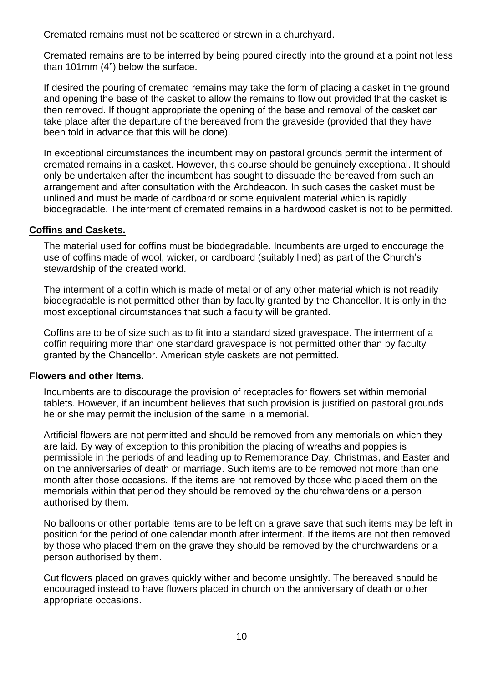Cremated remains must not be scattered or strewn in a churchyard.

Cremated remains are to be interred by being poured directly into the ground at a point not less than 101mm (4") below the surface.

If desired the pouring of cremated remains may take the form of placing a casket in the ground and opening the base of the casket to allow the remains to flow out provided that the casket is then removed. If thought appropriate the opening of the base and removal of the casket can take place after the departure of the bereaved from the graveside (provided that they have been told in advance that this will be done).

In exceptional circumstances the incumbent may on pastoral grounds permit the interment of cremated remains in a casket. However, this course should be genuinely exceptional. It should only be undertaken after the incumbent has sought to dissuade the bereaved from such an arrangement and after consultation with the Archdeacon. In such cases the casket must be unlined and must be made of cardboard or some equivalent material which is rapidly biodegradable. The interment of cremated remains in a hardwood casket is not to be permitted.

### **Coffins and Caskets.**

The material used for coffins must be biodegradable. Incumbents are urged to encourage the use of coffins made of wool, wicker, or cardboard (suitably lined) as part of the Church's stewardship of the created world.

The interment of a coffin which is made of metal or of any other material which is not readily biodegradable is not permitted other than by faculty granted by the Chancellor. It is only in the most exceptional circumstances that such a faculty will be granted.

Coffins are to be of size such as to fit into a standard sized gravespace. The interment of a coffin requiring more than one standard gravespace is not permitted other than by faculty granted by the Chancellor. American style caskets are not permitted.

#### **Flowers and other Items.**

Incumbents are to discourage the provision of receptacles for flowers set within memorial tablets. However, if an incumbent believes that such provision is justified on pastoral grounds he or she may permit the inclusion of the same in a memorial.

Artificial flowers are not permitted and should be removed from any memorials on which they are laid. By way of exception to this prohibition the placing of wreaths and poppies is permissible in the periods of and leading up to Remembrance Day, Christmas, and Easter and on the anniversaries of death or marriage. Such items are to be removed not more than one month after those occasions. If the items are not removed by those who placed them on the memorials within that period they should be removed by the churchwardens or a person authorised by them.

No balloons or other portable items are to be left on a grave save that such items may be left in position for the period of one calendar month after interment. If the items are not then removed by those who placed them on the grave they should be removed by the churchwardens or a person authorised by them.

Cut flowers placed on graves quickly wither and become unsightly. The bereaved should be encouraged instead to have flowers placed in church on the anniversary of death or other appropriate occasions.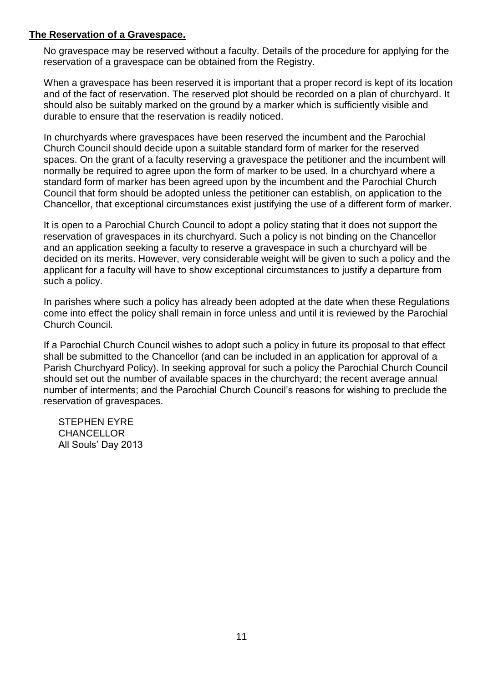#### **The Reservation of a Gravespace.**

No gravespace may be reserved without a faculty. Details of the procedure for applying for the reservation of a gravespace can be obtained from the Registry.

When a gravespace has been reserved it is important that a proper record is kept of its location and of the fact of reservation. The reserved plot should be recorded on a plan of churchyard. It should also be suitably marked on the ground by a marker which is sufficiently visible and durable to ensure that the reservation is readily noticed.

In churchyards where gravespaces have been reserved the incumbent and the Parochial Church Council should decide upon a suitable standard form of marker for the reserved spaces. On the grant of a faculty reserving a gravespace the petitioner and the incumbent will normally be required to agree upon the form of marker to be used. In a churchyard where a standard form of marker has been agreed upon by the incumbent and the Parochial Church Council that form should be adopted unless the petitioner can establish, on application to the Chancellor, that exceptional circumstances exist justifying the use of a different form of marker.

It is open to a Parochial Church Council to adopt a policy stating that it does not support the reservation of gravespaces in its churchyard. Such a policy is not binding on the Chancellor and an application seeking a faculty to reserve a gravespace in such a churchyard will be decided on its merits. However, very considerable weight will be given to such a policy and the applicant for a faculty will have to show exceptional circumstances to justify a departure from such a policy.

In parishes where such a policy has already been adopted at the date when these Regulations come into effect the policy shall remain in force unless and until it is reviewed by the Parochial Church Council.

If a Parochial Church Council wishes to adopt such a policy in future its proposal to that effect shall be submitted to the Chancellor (and can be included in an application for approval of a Parish Churchyard Policy). In seeking approval for such a policy the Parochial Church Council should set out the number of available spaces in the churchyard; the recent average annual number of interments; and the Parochial Church Council's reasons for wishing to preclude the reservation of gravespaces.

STEPHEN EYRE **CHANCELLOR** All Souls' Day 2013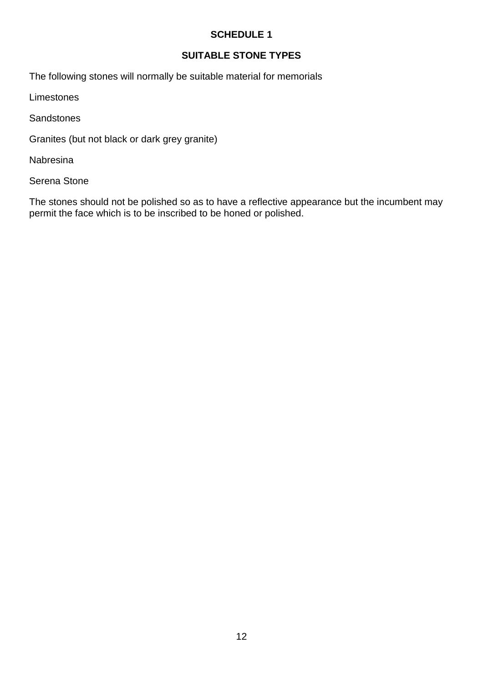# **SCHEDULE 1**

# **SUITABLE STONE TYPES**

The following stones will normally be suitable material for memorials

Limestones

**Sandstones** 

Granites (but not black or dark grey granite)

Nabresina

Serena Stone

The stones should not be polished so as to have a reflective appearance but the incumbent may permit the face which is to be inscribed to be honed or polished.